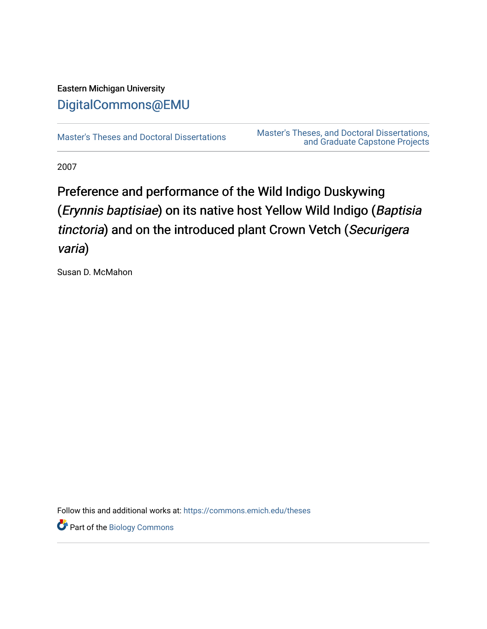# Eastern Michigan University [DigitalCommons@EMU](https://commons.emich.edu/)

[Master's Theses and Doctoral Dissertations](https://commons.emich.edu/theses) Master's Theses, and Doctoral Dissertations, [and Graduate Capstone Projects](https://commons.emich.edu/etd) 

2007

# Preference and performance of the Wild Indigo Duskywing (Erynnis baptisiae) on its native host Yellow Wild Indigo (Baptisia tinctoria) and on the introduced plant Crown Vetch (Securigera varia)

Susan D. McMahon

Follow this and additional works at: [https://commons.emich.edu/theses](https://commons.emich.edu/theses?utm_source=commons.emich.edu%2Ftheses%2F1116&utm_medium=PDF&utm_campaign=PDFCoverPages) 

Part of the [Biology Commons](http://network.bepress.com/hgg/discipline/41?utm_source=commons.emich.edu%2Ftheses%2F1116&utm_medium=PDF&utm_campaign=PDFCoverPages)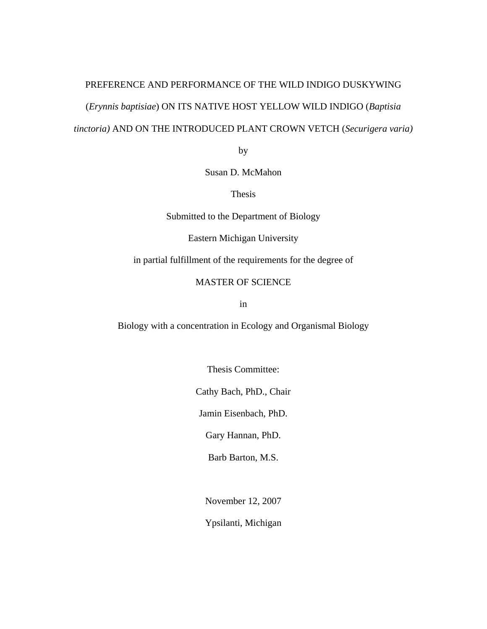# PREFERENCE AND PERFORMANCE OF THE WILD INDIGO DUSKYWING (*Erynnis baptisiae*) ON ITS NATIVE HOST YELLOW WILD INDIGO (*Baptisia tinctoria)* AND ON THE INTRODUCED PLANT CROWN VETCH (*Securigera varia)*

by

Susan D. McMahon

Thesis

Submitted to the Department of Biology

Eastern Michigan University

in partial fulfillment of the requirements for the degree of

#### MASTER OF SCIENCE

in

Biology with a concentration in Ecology and Organismal Biology

Thesis Committee:

Cathy Bach, PhD., Chair

Jamin Eisenbach, PhD.

Gary Hannan, PhD.

Barb Barton, M.S.

November 12, 2007

Ypsilanti, Michigan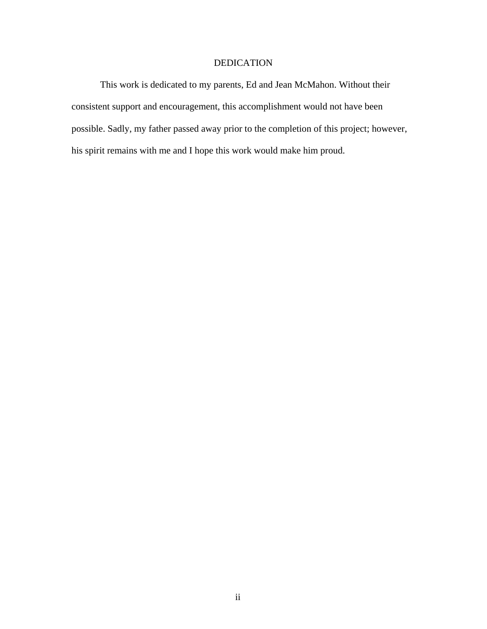## DEDICATION

This work is dedicated to my parents, Ed and Jean McMahon. Without their consistent support and encouragement, this accomplishment would not have been possible. Sadly, my father passed away prior to the completion of this project; however, his spirit remains with me and I hope this work would make him proud.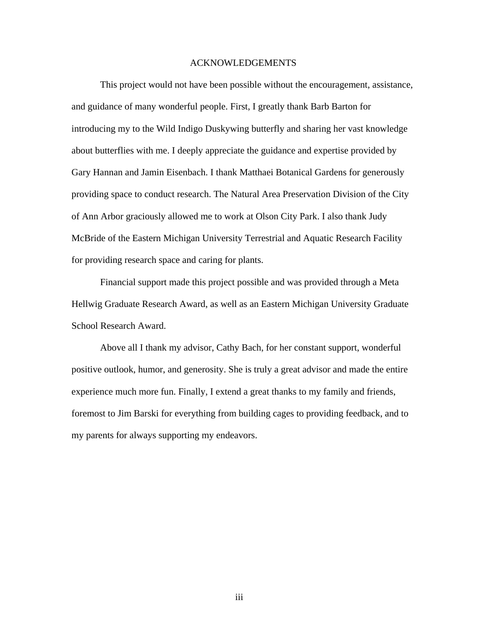#### ACKNOWLEDGEMENTS

This project would not have been possible without the encouragement, assistance, and guidance of many wonderful people. First, I greatly thank Barb Barton for introducing my to the Wild Indigo Duskywing butterfly and sharing her vast knowledge about butterflies with me. I deeply appreciate the guidance and expertise provided by Gary Hannan and Jamin Eisenbach. I thank Matthaei Botanical Gardens for generously providing space to conduct research. The Natural Area Preservation Division of the City of Ann Arbor graciously allowed me to work at Olson City Park. I also thank Judy McBride of the Eastern Michigan University Terrestrial and Aquatic Research Facility for providing research space and caring for plants.

Financial support made this project possible and was provided through a Meta Hellwig Graduate Research Award, as well as an Eastern Michigan University Graduate School Research Award.

Above all I thank my advisor, Cathy Bach, for her constant support, wonderful positive outlook, humor, and generosity. She is truly a great advisor and made the entire experience much more fun. Finally, I extend a great thanks to my family and friends, foremost to Jim Barski for everything from building cages to providing feedback, and to my parents for always supporting my endeavors.

iii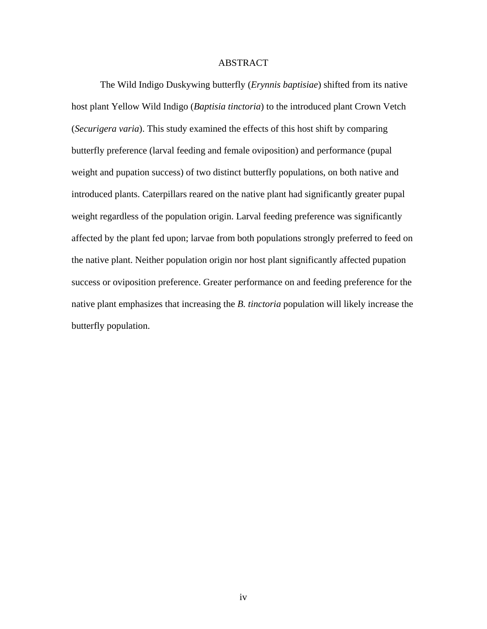#### ABSTRACT

The Wild Indigo Duskywing butterfly (*Erynnis baptisiae*) shifted from its native host plant Yellow Wild Indigo (*Baptisia tinctoria*) to the introduced plant Crown Vetch (*Securigera varia*). This study examined the effects of this host shift by comparing butterfly preference (larval feeding and female oviposition) and performance (pupal weight and pupation success) of two distinct butterfly populations, on both native and introduced plants. Caterpillars reared on the native plant had significantly greater pupal weight regardless of the population origin. Larval feeding preference was significantly affected by the plant fed upon; larvae from both populations strongly preferred to feed on the native plant. Neither population origin nor host plant significantly affected pupation success or oviposition preference. Greater performance on and feeding preference for the native plant emphasizes that increasing the *B. tinctoria* population will likely increase the butterfly population.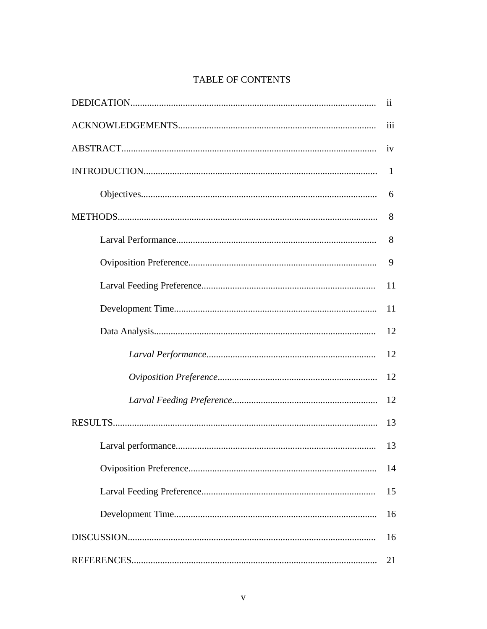# **TABLE OF CONTENTS**

| $\overline{11}$ |
|-----------------|
| iii             |
| iv              |
| 1               |
| 6               |
| 8               |
| 8               |
| 9               |
| 11              |
| 11              |
| 12              |
| 12              |
| 12              |
| 12              |
| 13              |
| 13              |
| 14              |
| 15              |
| 16              |
| 16              |
| 21              |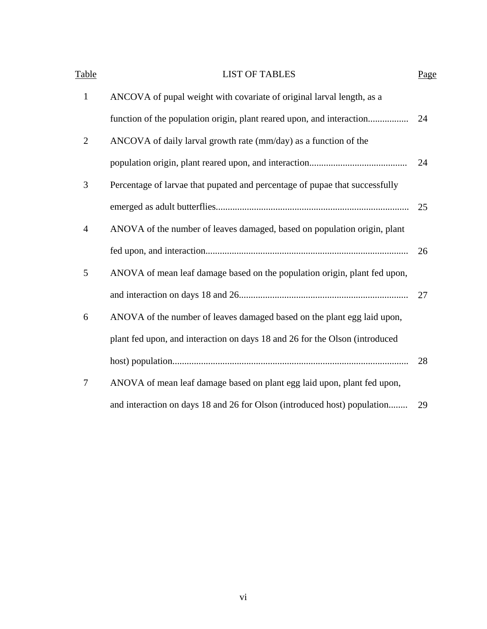| <b>Table</b>   | <b>LIST OF TABLES</b>                                                       | Page |
|----------------|-----------------------------------------------------------------------------|------|
| $\mathbf{1}$   | ANCOVA of pupal weight with covariate of original larval length, as a       |      |
|                | function of the population origin, plant reared upon, and interaction       | 24   |
| $\overline{2}$ | ANCOVA of daily larval growth rate (mm/day) as a function of the            |      |
|                |                                                                             | 24   |
| 3              | Percentage of larvae that pupated and percentage of pupae that successfully |      |
|                |                                                                             | 25   |
| $\overline{4}$ | ANOVA of the number of leaves damaged, based on population origin, plant    |      |
|                |                                                                             | 26   |
| 5              | ANOVA of mean leaf damage based on the population origin, plant fed upon,   |      |
|                |                                                                             | 27   |
| 6              | ANOVA of the number of leaves damaged based on the plant egg laid upon,     |      |
|                | plant fed upon, and interaction on days 18 and 26 for the Olson (introduced |      |
|                |                                                                             | 28   |
| 7              | ANOVA of mean leaf damage based on plant egg laid upon, plant fed upon,     |      |
|                | and interaction on days 18 and 26 for Olson (introduced host) population    | 29   |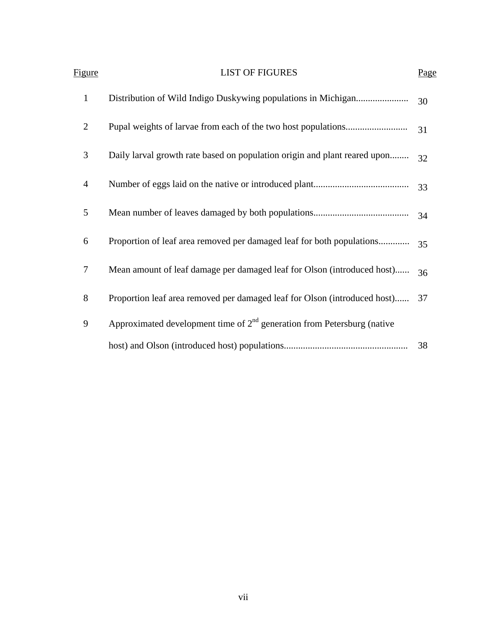| Figure           | <b>LIST OF FIGURES</b>                                                    | Page |
|------------------|---------------------------------------------------------------------------|------|
| $\mathbf{1}$     |                                                                           | 30   |
| $\overline{2}$   |                                                                           | 31   |
| 3                | Daily larval growth rate based on population origin and plant reared upon | 32   |
| $\overline{4}$   |                                                                           | 33   |
| 5                |                                                                           | 34   |
| 6                | Proportion of leaf area removed per damaged leaf for both populations     | 35   |
| $\boldsymbol{7}$ | Mean amount of leaf damage per damaged leaf for Olson (introduced host)   | 36   |
| 8                | Proportion leaf area removed per damaged leaf for Olson (introduced host) | 37   |
| 9                | Approximated development time of $2nd$ generation from Petersburg (native |      |
|                  |                                                                           | 38   |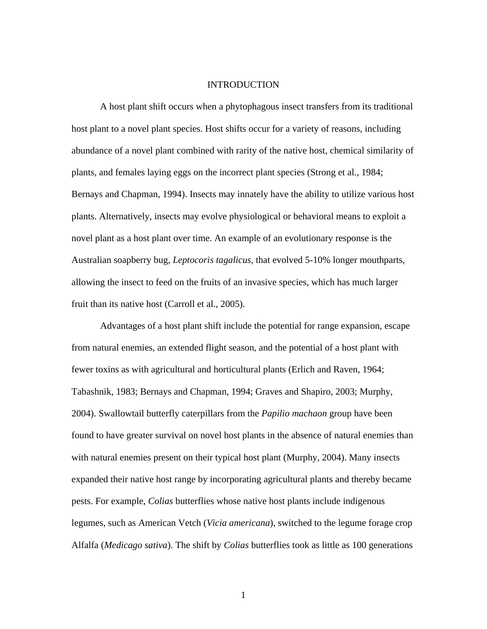#### INTRODUCTION

A host plant shift occurs when a phytophagous insect transfers from its traditional host plant to a novel plant species. Host shifts occur for a variety of reasons, including abundance of a novel plant combined with rarity of the native host, chemical similarity of plants, and females laying eggs on the incorrect plant species (Strong et al., 1984; Bernays and Chapman, 1994). Insects may innately have the ability to utilize various host plants. Alternatively, insects may evolve physiological or behavioral means to exploit a novel plant as a host plant over time. An example of an evolutionary response is the Australian soapberry bug, *Leptocoris tagalicus*, that evolved 5-10% longer mouthparts, allowing the insect to feed on the fruits of an invasive species, which has much larger fruit than its native host (Carroll et al., 2005).

Advantages of a host plant shift include the potential for range expansion, escape from natural enemies, an extended flight season, and the potential of a host plant with fewer toxins as with agricultural and horticultural plants (Erlich and Raven, 1964; Tabashnik, 1983; Bernays and Chapman, 1994; Graves and Shapiro, 2003; Murphy, 2004). Swallowtail butterfly caterpillars from the *Papilio machaon* group have been found to have greater survival on novel host plants in the absence of natural enemies than with natural enemies present on their typical host plant (Murphy, 2004). Many insects expanded their native host range by incorporating agricultural plants and thereby became pests. For example, *Colias* butterflies whose native host plants include indigenous legumes, such as American Vetch (*Vicia americana*), switched to the legume forage crop Alfalfa (*Medicago sativa*). The shift by *Colias* butterflies took as little as 100 generations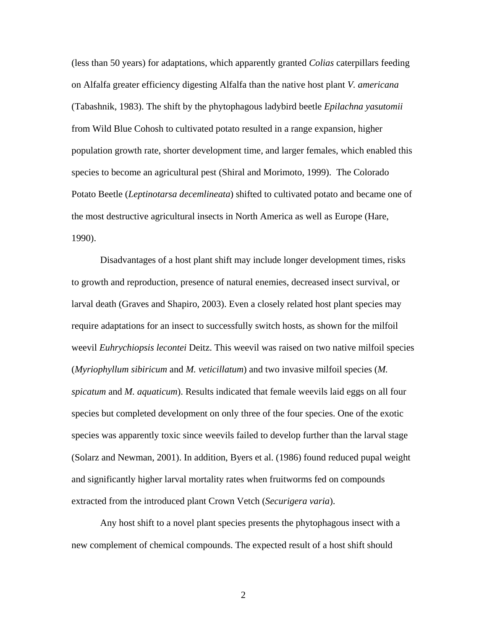(less than 50 years) for adaptations, which apparently granted *Colias* caterpillars feeding on Alfalfa greater efficiency digesting Alfalfa than the native host plant *V. americana* (Tabashnik, 1983). The shift by the phytophagous ladybird beetle *Epilachna yasutomii* from Wild Blue Cohosh to cultivated potato resulted in a range expansion, higher population growth rate, shorter development time, and larger females, which enabled this species to become an agricultural pest (Shiral and Morimoto, 1999). The Colorado Potato Beetle (*Leptinotarsa decemlineata*) shifted to cultivated potato and became one of the most destructive agricultural insects in North America as well as Europe (Hare, 1990).

Disadvantages of a host plant shift may include longer development times, risks to growth and reproduction, presence of natural enemies, decreased insect survival, or larval death (Graves and Shapiro, 2003). Even a closely related host plant species may require adaptations for an insect to successfully switch hosts, as shown for the milfoil weevil *Euhrychiopsis lecontei* Deitz. This weevil was raised on two native milfoil species (*Myriophyllum sibiricum* and *M. veticillatum*) and two invasive milfoil species (*M. spicatum* and *M. aquaticum*). Results indicated that female weevils laid eggs on all four species but completed development on only three of the four species. One of the exotic species was apparently toxic since weevils failed to develop further than the larval stage (Solarz and Newman, 2001). In addition, Byers et al. (1986) found reduced pupal weight and significantly higher larval mortality rates when fruitworms fed on compounds extracted from the introduced plant Crown Vetch (*Securigera varia*).

Any host shift to a novel plant species presents the phytophagous insect with a new complement of chemical compounds. The expected result of a host shift should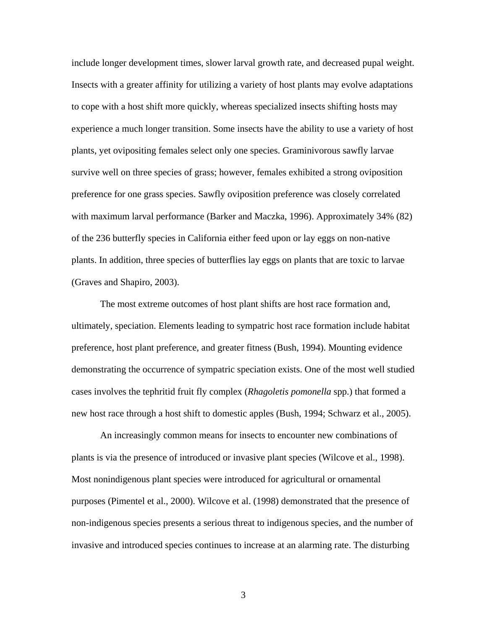include longer development times, slower larval growth rate, and decreased pupal weight. Insects with a greater affinity for utilizing a variety of host plants may evolve adaptations to cope with a host shift more quickly, whereas specialized insects shifting hosts may experience a much longer transition. Some insects have the ability to use a variety of host plants, yet ovipositing females select only one species. Graminivorous sawfly larvae survive well on three species of grass; however, females exhibited a strong oviposition preference for one grass species. Sawfly oviposition preference was closely correlated with maximum larval performance (Barker and Maczka, 1996). Approximately 34% (82) of the 236 butterfly species in California either feed upon or lay eggs on non-native plants. In addition, three species of butterflies lay eggs on plants that are toxic to larvae (Graves and Shapiro, 2003).

The most extreme outcomes of host plant shifts are host race formation and, ultimately, speciation. Elements leading to sympatric host race formation include habitat preference, host plant preference, and greater fitness (Bush, 1994). Mounting evidence demonstrating the occurrence of sympatric speciation exists. One of the most well studied cases involves the tephritid fruit fly complex (*Rhagoletis pomonella* spp.) that formed a new host race through a host shift to domestic apples (Bush, 1994; Schwarz et al., 2005).

An increasingly common means for insects to encounter new combinations of plants is via the presence of introduced or invasive plant species (Wilcove et al., 1998). Most nonindigenous plant species were introduced for agricultural or ornamental purposes (Pimentel et al., 2000). Wilcove et al. (1998) demonstrated that the presence of non-indigenous species presents a serious threat to indigenous species, and the number of invasive and introduced species continues to increase at an alarming rate. The disturbing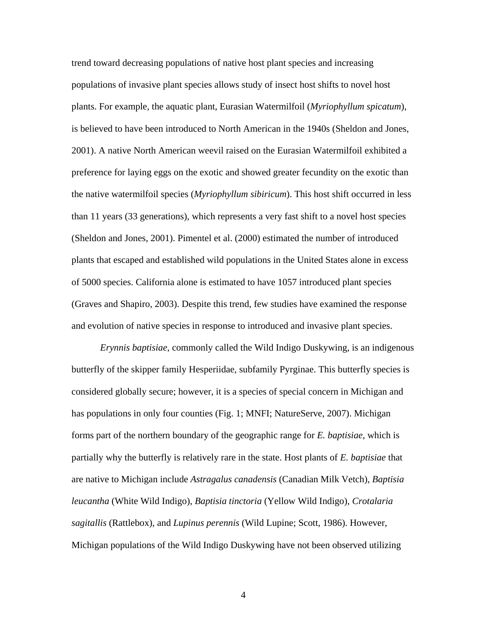trend toward decreasing populations of native host plant species and increasing populations of invasive plant species allows study of insect host shifts to novel host plants. For example, the aquatic plant, Eurasian Watermilfoil (*Myriophyllum spicatum*), is believed to have been introduced to North American in the 1940s (Sheldon and Jones, 2001). A native North American weevil raised on the Eurasian Watermilfoil exhibited a preference for laying eggs on the exotic and showed greater fecundity on the exotic than the native watermilfoil species (*Myriophyllum sibiricum*). This host shift occurred in less than 11 years (33 generations), which represents a very fast shift to a novel host species (Sheldon and Jones, 2001). Pimentel et al. (2000) estimated the number of introduced plants that escaped and established wild populations in the United States alone in excess of 5000 species. California alone is estimated to have 1057 introduced plant species (Graves and Shapiro, 2003). Despite this trend, few studies have examined the response and evolution of native species in response to introduced and invasive plant species.

*Erynnis baptisiae*, commonly called the Wild Indigo Duskywing, is an indigenous butterfly of the skipper family Hesperiidae, subfamily Pyrginae. This butterfly species is considered globally secure; however, it is a species of special concern in Michigan and has populations in only four counties (Fig. 1; MNFI; NatureServe, 2007). Michigan forms part of the northern boundary of the geographic range for *E. baptisiae*, which is partially why the butterfly is relatively rare in the state. Host plants of *E. baptisiae* that are native to Michigan include *Astragalus canadensis* (Canadian Milk Vetch), *Baptisia leucantha* (White Wild Indigo), *Baptisia tinctoria* (Yellow Wild Indigo), *Crotalaria sagitallis* (Rattlebox), and *Lupinus perennis* (Wild Lupine; Scott, 1986). However, Michigan populations of the Wild Indigo Duskywing have not been observed utilizing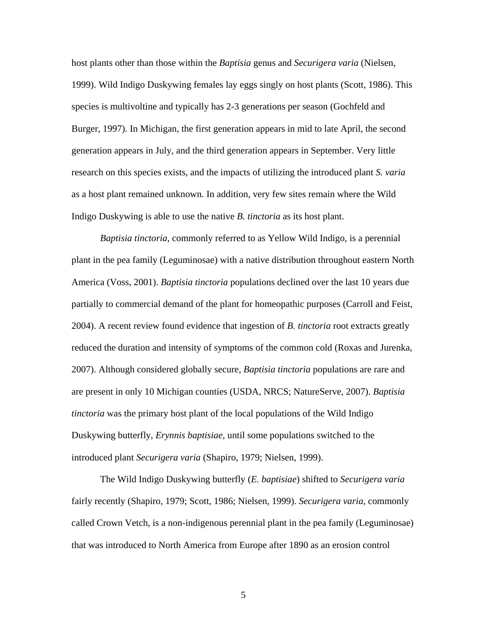host plants other than those within the *Baptisia* genus and *Securigera varia* (Nielsen, 1999). Wild Indigo Duskywing females lay eggs singly on host plants (Scott, 1986). This species is multivoltine and typically has 2-3 generations per season (Gochfeld and Burger, 1997). In Michigan, the first generation appears in mid to late April, the second generation appears in July, and the third generation appears in September. Very little research on this species exists, and the impacts of utilizing the introduced plant *S. varia* as a host plant remained unknown. In addition, very few sites remain where the Wild Indigo Duskywing is able to use the native *B. tinctoria* as its host plant.

*Baptisia tinctoria*, commonly referred to as Yellow Wild Indigo, is a perennial plant in the pea family (Leguminosae) with a native distribution throughout eastern North America (Voss, 2001). *Baptisia tinctoria* populations declined over the last 10 years due partially to commercial demand of the plant for homeopathic purposes (Carroll and Feist, 2004). A recent review found evidence that ingestion of *B. tinctoria* root extracts greatly reduced the duration and intensity of symptoms of the common cold (Roxas and Jurenka, 2007). Although considered globally secure, *Baptisia tinctoria* populations are rare and are present in only 10 Michigan counties (USDA, NRCS; NatureServe, 2007). *Baptisia tinctoria* was the primary host plant of the local populations of the Wild Indigo Duskywing butterfly, *Erynnis baptisiae*, until some populations switched to the introduced plant *Securigera varia* (Shapiro, 1979; Nielsen, 1999).

The Wild Indigo Duskywing butterfly (*E. baptisiae*) shifted to *Securigera varia* fairly recently (Shapiro, 1979; Scott, 1986; Nielsen, 1999). *Securigera varia*, commonly called Crown Vetch, is a non-indigenous perennial plant in the pea family (Leguminosae) that was introduced to North America from Europe after 1890 as an erosion control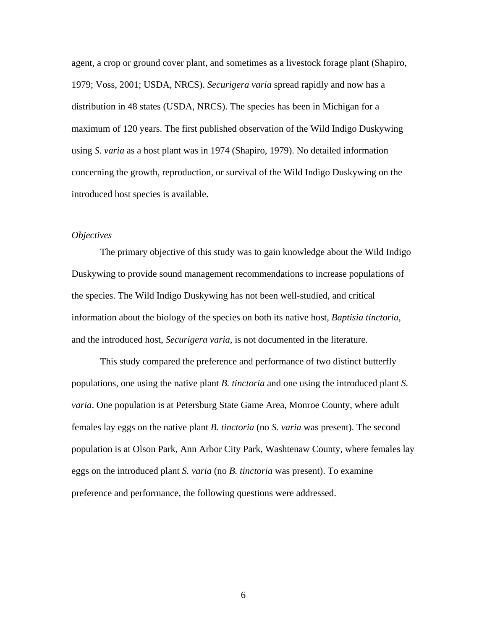agent, a crop or ground cover plant, and sometimes as a livestock forage plant (Shapiro, 1979; Voss, 2001; USDA, NRCS). *Securigera varia* spread rapidly and now has a distribution in 48 states (USDA, NRCS). The species has been in Michigan for a maximum of 120 years. The first published observation of the Wild Indigo Duskywing using *S. varia* as a host plant was in 1974 (Shapiro, 1979). No detailed information concerning the growth, reproduction, or survival of the Wild Indigo Duskywing on the introduced host species is available.

#### *Objectives*

The primary objective of this study was to gain knowledge about the Wild Indigo Duskywing to provide sound management recommendations to increase populations of the species. The Wild Indigo Duskywing has not been well-studied, and critical information about the biology of the species on both its native host, *Baptisia tinctoria*, and the introduced host, *Securigera varia*, is not documented in the literature.

This study compared the preference and performance of two distinct butterfly populations, one using the native plant *B. tinctoria* and one using the introduced plant *S. varia*. One population is at Petersburg State Game Area, Monroe County, where adult females lay eggs on the native plant *B. tinctoria* (no *S. varia* was present). The second population is at Olson Park, Ann Arbor City Park, Washtenaw County, where females lay eggs on the introduced plant *S. varia* (no *B. tinctoria* was present). To examine preference and performance, the following questions were addressed.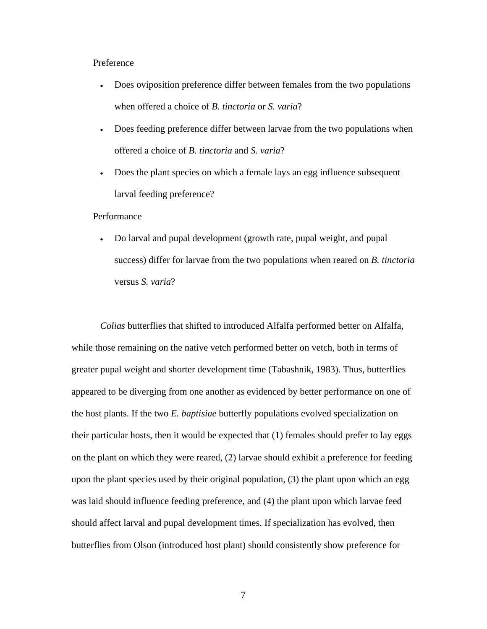#### Preference

- Does oviposition preference differ between females from the two populations when offered a choice of *B. tinctoria* or *S. varia*?
- Does feeding preference differ between larvae from the two populations when offered a choice of *B. tinctoria* and *S. varia*?
- Does the plant species on which a female lays an egg influence subsequent larval feeding preference?

#### Performance

• Do larval and pupal development (growth rate, pupal weight, and pupal success) differ for larvae from the two populations when reared on *B. tinctoria* versus *S. varia*?

*Colias* butterflies that shifted to introduced Alfalfa performed better on Alfalfa, while those remaining on the native vetch performed better on vetch, both in terms of greater pupal weight and shorter development time (Tabashnik, 1983). Thus, butterflies appeared to be diverging from one another as evidenced by better performance on one of the host plants. If the two *E. baptisiae* butterfly populations evolved specialization on their particular hosts, then it would be expected that (1) females should prefer to lay eggs on the plant on which they were reared, (2) larvae should exhibit a preference for feeding upon the plant species used by their original population, (3) the plant upon which an egg was laid should influence feeding preference, and (4) the plant upon which larvae feed should affect larval and pupal development times. If specialization has evolved, then butterflies from Olson (introduced host plant) should consistently show preference for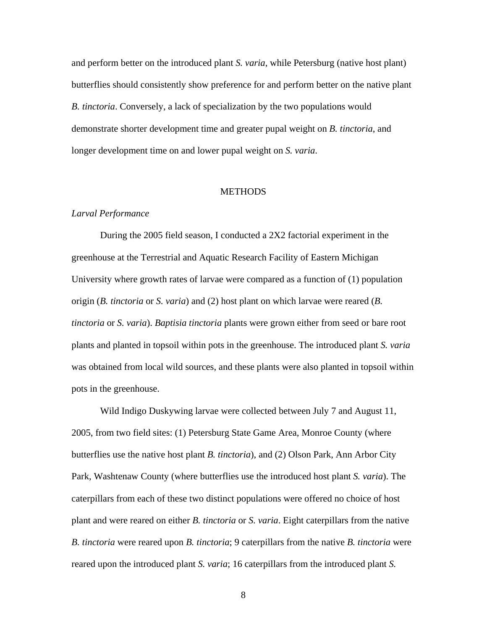and perform better on the introduced plant *S. varia*, while Petersburg (native host plant) butterflies should consistently show preference for and perform better on the native plant *B. tinctoria*. Conversely, a lack of specialization by the two populations would demonstrate shorter development time and greater pupal weight on *B. tinctoria*, and longer development time on and lower pupal weight on *S. varia*.

#### **METHODS**

#### *Larval Performance*

During the 2005 field season, I conducted a 2X2 factorial experiment in the greenhouse at the Terrestrial and Aquatic Research Facility of Eastern Michigan University where growth rates of larvae were compared as a function of (1) population origin (*B. tinctoria* or *S. varia*) and (2) host plant on which larvae were reared (*B. tinctoria* or *S. varia*). *Baptisia tinctoria* plants were grown either from seed or bare root plants and planted in topsoil within pots in the greenhouse. The introduced plant *S. varia* was obtained from local wild sources, and these plants were also planted in topsoil within pots in the greenhouse.

Wild Indigo Duskywing larvae were collected between July 7 and August 11, 2005, from two field sites: (1) Petersburg State Game Area, Monroe County (where butterflies use the native host plant *B. tinctoria*), and (2) Olson Park, Ann Arbor City Park, Washtenaw County (where butterflies use the introduced host plant *S. varia*). The caterpillars from each of these two distinct populations were offered no choice of host plant and were reared on either *B. tinctoria* or *S. varia*. Eight caterpillars from the native *B. tinctoria* were reared upon *B. tinctoria*; 9 caterpillars from the native *B. tinctoria* were reared upon the introduced plant *S. varia*; 16 caterpillars from the introduced plant *S.*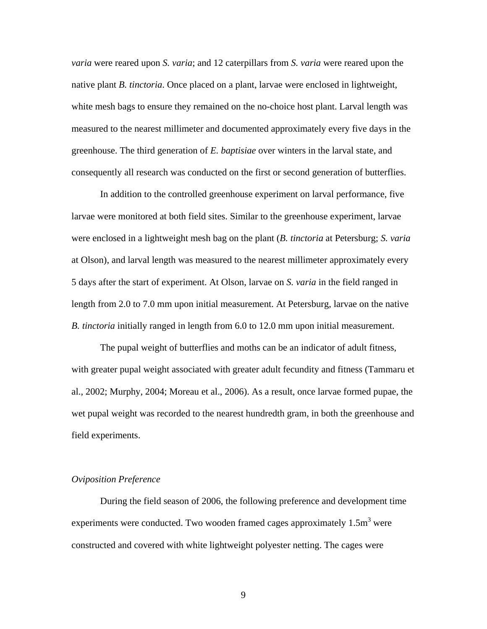*varia* were reared upon *S. varia*; and 12 caterpillars from *S. varia* were reared upon the native plant *B. tinctoria*. Once placed on a plant, larvae were enclosed in lightweight, white mesh bags to ensure they remained on the no-choice host plant. Larval length was measured to the nearest millimeter and documented approximately every five days in the greenhouse. The third generation of *E. baptisiae* over winters in the larval state, and consequently all research was conducted on the first or second generation of butterflies.

In addition to the controlled greenhouse experiment on larval performance, five larvae were monitored at both field sites. Similar to the greenhouse experiment, larvae were enclosed in a lightweight mesh bag on the plant (*B. tinctoria* at Petersburg; *S. varia* at Olson), and larval length was measured to the nearest millimeter approximately every 5 days after the start of experiment. At Olson, larvae on *S. varia* in the field ranged in length from 2.0 to 7.0 mm upon initial measurement. At Petersburg, larvae on the native *B. tinctoria* initially ranged in length from 6.0 to 12.0 mm upon initial measurement.

The pupal weight of butterflies and moths can be an indicator of adult fitness, with greater pupal weight associated with greater adult fecundity and fitness (Tammaru et al., 2002; Murphy, 2004; Moreau et al., 2006). As a result, once larvae formed pupae, the wet pupal weight was recorded to the nearest hundredth gram, in both the greenhouse and field experiments.

#### *Oviposition Preference*

During the field season of 2006, the following preference and development time experiments were conducted. Two wooden framed cages approximately  $1.5m<sup>3</sup>$  were constructed and covered with white lightweight polyester netting. The cages were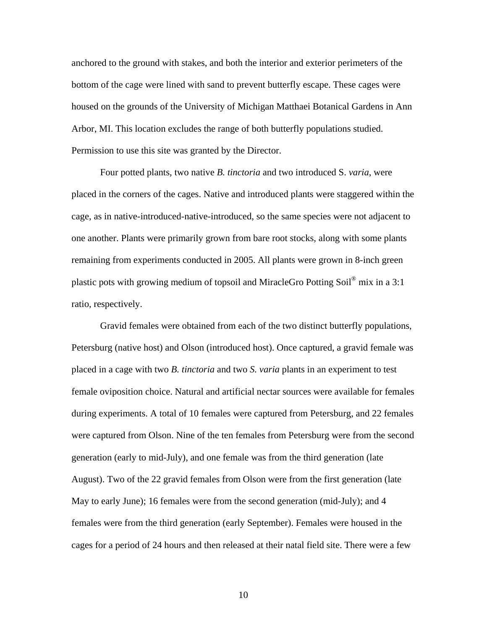anchored to the ground with stakes, and both the interior and exterior perimeters of the bottom of the cage were lined with sand to prevent butterfly escape. These cages were housed on the grounds of the University of Michigan Matthaei Botanical Gardens in Ann Arbor, MI. This location excludes the range of both butterfly populations studied. Permission to use this site was granted by the Director.

Four potted plants, two native *B. tinctoria* and two introduced S. *varia*, were placed in the corners of the cages. Native and introduced plants were staggered within the cage, as in native-introduced-native-introduced, so the same species were not adjacent to one another. Plants were primarily grown from bare root stocks, along with some plants remaining from experiments conducted in 2005. All plants were grown in 8-inch green plastic pots with growing medium of topsoil and MiracleGro Potting Soil<sup>®</sup> mix in a 3:1 ratio, respectively.

Gravid females were obtained from each of the two distinct butterfly populations, Petersburg (native host) and Olson (introduced host). Once captured, a gravid female was placed in a cage with two *B. tinctoria* and two *S. varia* plants in an experiment to test female oviposition choice. Natural and artificial nectar sources were available for females during experiments. A total of 10 females were captured from Petersburg, and 22 females were captured from Olson. Nine of the ten females from Petersburg were from the second generation (early to mid-July), and one female was from the third generation (late August). Two of the 22 gravid females from Olson were from the first generation (late May to early June); 16 females were from the second generation (mid-July); and 4 females were from the third generation (early September). Females were housed in the cages for a period of 24 hours and then released at their natal field site. There were a few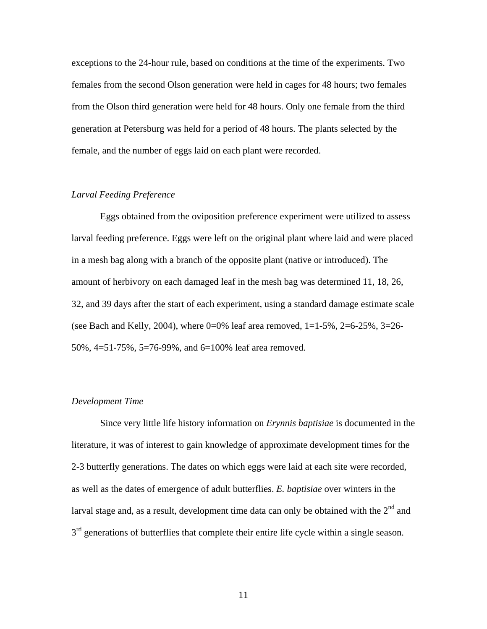exceptions to the 24-hour rule, based on conditions at the time of the experiments. Two females from the second Olson generation were held in cages for 48 hours; two females from the Olson third generation were held for 48 hours. Only one female from the third generation at Petersburg was held for a period of 48 hours. The plants selected by the female, and the number of eggs laid on each plant were recorded.

#### *Larval Feeding Preference*

Eggs obtained from the oviposition preference experiment were utilized to assess larval feeding preference. Eggs were left on the original plant where laid and were placed in a mesh bag along with a branch of the opposite plant (native or introduced). The amount of herbivory on each damaged leaf in the mesh bag was determined 11, 18, 26, 32, and 39 days after the start of each experiment, using a standard damage estimate scale (see Bach and Kelly, 2004), where  $0=0\%$  leaf area removed,  $1=1-5\%$ ,  $2=6-25\%$ ,  $3=26-25\%$ 50%, 4=51-75%, 5=76-99%, and 6=100% leaf area removed.

#### *Development Time*

Since very little life history information on *Erynnis baptisiae* is documented in the literature, it was of interest to gain knowledge of approximate development times for the 2-3 butterfly generations. The dates on which eggs were laid at each site were recorded, as well as the dates of emergence of adult butterflies. *E. baptisiae* over winters in the larval stage and, as a result, development time data can only be obtained with the  $2<sup>nd</sup>$  and  $3<sup>rd</sup>$  generations of butterflies that complete their entire life cycle within a single season.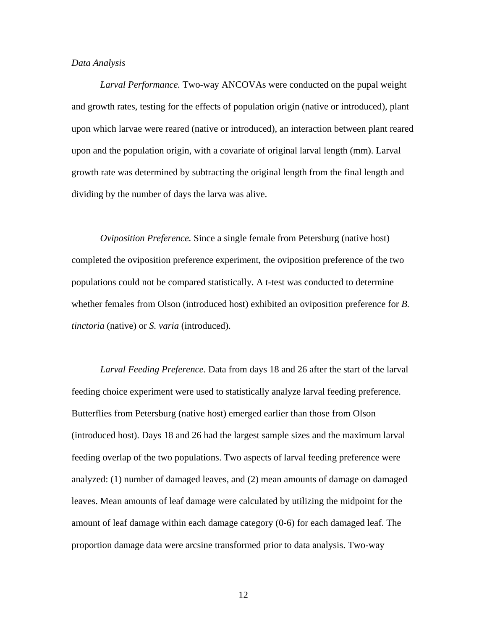#### *Data Analysis*

*Larval Performance.* Two-way ANCOVAs were conducted on the pupal weight and growth rates, testing for the effects of population origin (native or introduced), plant upon which larvae were reared (native or introduced), an interaction between plant reared upon and the population origin, with a covariate of original larval length (mm). Larval growth rate was determined by subtracting the original length from the final length and dividing by the number of days the larva was alive.

*Oviposition Preference.* Since a single female from Petersburg (native host) completed the oviposition preference experiment, the oviposition preference of the two populations could not be compared statistically. A t-test was conducted to determine whether females from Olson (introduced host) exhibited an oviposition preference for *B. tinctoria* (native) or *S. varia* (introduced).

*Larval Feeding Preference.* Data from days 18 and 26 after the start of the larval feeding choice experiment were used to statistically analyze larval feeding preference. Butterflies from Petersburg (native host) emerged earlier than those from Olson (introduced host). Days 18 and 26 had the largest sample sizes and the maximum larval feeding overlap of the two populations. Two aspects of larval feeding preference were analyzed: (1) number of damaged leaves, and (2) mean amounts of damage on damaged leaves. Mean amounts of leaf damage were calculated by utilizing the midpoint for the amount of leaf damage within each damage category (0-6) for each damaged leaf. The proportion damage data were arcsine transformed prior to data analysis. Two-way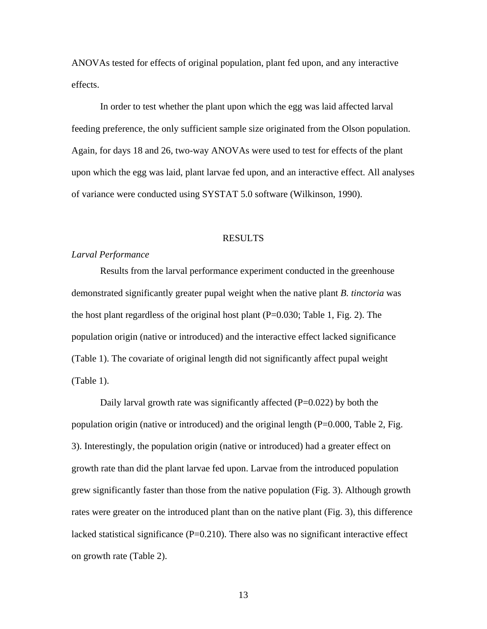ANOVAs tested for effects of original population, plant fed upon, and any interactive effects.

In order to test whether the plant upon which the egg was laid affected larval feeding preference, the only sufficient sample size originated from the Olson population. Again, for days 18 and 26, two-way ANOVAs were used to test for effects of the plant upon which the egg was laid, plant larvae fed upon, and an interactive effect. All analyses of variance were conducted using SYSTAT 5.0 software (Wilkinson, 1990).

#### RESULTS

#### *Larval Performance*

Results from the larval performance experiment conducted in the greenhouse demonstrated significantly greater pupal weight when the native plant *B. tinctoria* was the host plant regardless of the original host plant  $(P=0.030;$  Table 1, Fig. 2). The population origin (native or introduced) and the interactive effect lacked significance (Table 1). The covariate of original length did not significantly affect pupal weight (Table 1).

Daily larval growth rate was significantly affected  $(P=0.022)$  by both the population origin (native or introduced) and the original length  $(P=0.000,$  Table 2, Fig. 3). Interestingly, the population origin (native or introduced) had a greater effect on growth rate than did the plant larvae fed upon. Larvae from the introduced population grew significantly faster than those from the native population (Fig. 3). Although growth rates were greater on the introduced plant than on the native plant (Fig. 3), this difference lacked statistical significance  $(P=0.210)$ . There also was no significant interactive effect on growth rate (Table 2).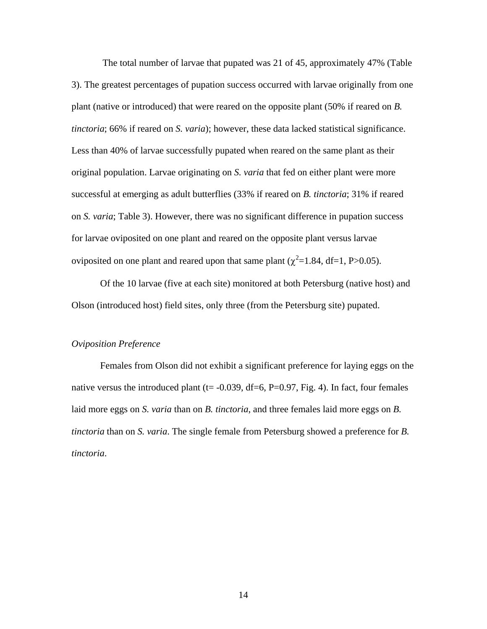The total number of larvae that pupated was 21 of 45, approximately 47% (Table 3). The greatest percentages of pupation success occurred with larvae originally from one plant (native or introduced) that were reared on the opposite plant (50% if reared on *B. tinctoria*; 66% if reared on *S. varia*); however, these data lacked statistical significance. Less than 40% of larvae successfully pupated when reared on the same plant as their original population. Larvae originating on *S. varia* that fed on either plant were more successful at emerging as adult butterflies (33% if reared on *B. tinctoria*; 31% if reared on *S. varia*; Table 3). However, there was no significant difference in pupation success for larvae oviposited on one plant and reared on the opposite plant versus larvae oviposited on one plant and reared upon that same plant ( $\chi^2$ =1.84, df=1, P>0.05).

Of the 10 larvae (five at each site) monitored at both Petersburg (native host) and Olson (introduced host) field sites, only three (from the Petersburg site) pupated.

#### *Oviposition Preference*

Females from Olson did not exhibit a significant preference for laying eggs on the native versus the introduced plant ( $t = -0.039$ , df=6, P=0.97, Fig. 4). In fact, four females laid more eggs on *S. varia* than on *B. tinctoria*, and three females laid more eggs on *B. tinctoria* than on *S. varia*. The single female from Petersburg showed a preference for *B. tinctoria*.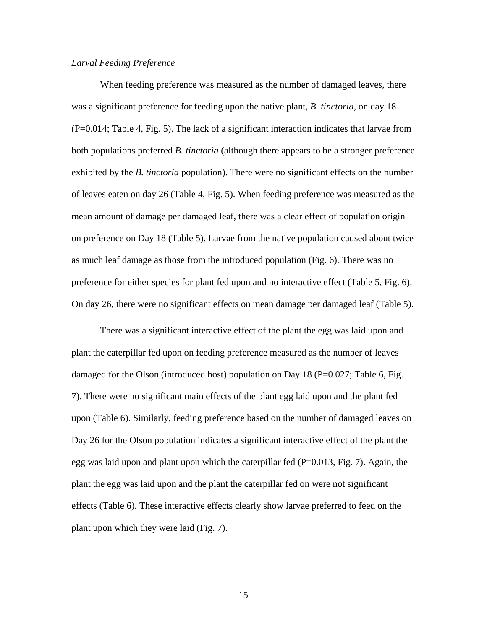#### *Larval Feeding Preference*

When feeding preference was measured as the number of damaged leaves, there was a significant preference for feeding upon the native plant, *B. tinctoria*, on day 18 (P=0.014; Table 4, Fig. 5). The lack of a significant interaction indicates that larvae from both populations preferred *B. tinctoria* (although there appears to be a stronger preference exhibited by the *B. tinctoria* population). There were no significant effects on the number of leaves eaten on day 26 (Table 4, Fig. 5). When feeding preference was measured as the mean amount of damage per damaged leaf, there was a clear effect of population origin on preference on Day 18 (Table 5). Larvae from the native population caused about twice as much leaf damage as those from the introduced population (Fig. 6). There was no preference for either species for plant fed upon and no interactive effect (Table 5, Fig. 6). On day 26, there were no significant effects on mean damage per damaged leaf (Table 5).

There was a significant interactive effect of the plant the egg was laid upon and plant the caterpillar fed upon on feeding preference measured as the number of leaves damaged for the Olson (introduced host) population on Day 18 ( $P=0.027$ ; Table 6, Fig. 7). There were no significant main effects of the plant egg laid upon and the plant fed upon (Table 6). Similarly, feeding preference based on the number of damaged leaves on Day 26 for the Olson population indicates a significant interactive effect of the plant the egg was laid upon and plant upon which the caterpillar fed  $(P=0.013, Fig. 7)$ . Again, the plant the egg was laid upon and the plant the caterpillar fed on were not significant effects (Table 6). These interactive effects clearly show larvae preferred to feed on the plant upon which they were laid (Fig. 7).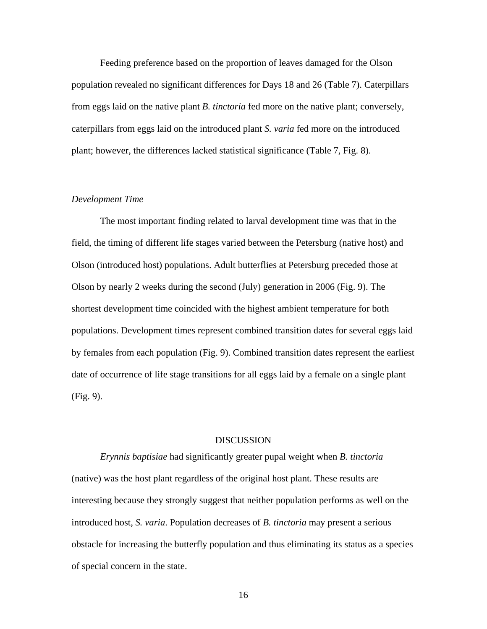Feeding preference based on the proportion of leaves damaged for the Olson population revealed no significant differences for Days 18 and 26 (Table 7). Caterpillars from eggs laid on the native plant *B. tinctoria* fed more on the native plant; conversely, caterpillars from eggs laid on the introduced plant *S. varia* fed more on the introduced plant; however, the differences lacked statistical significance (Table 7, Fig. 8).

#### *Development Time*

The most important finding related to larval development time was that in the field, the timing of different life stages varied between the Petersburg (native host) and Olson (introduced host) populations. Adult butterflies at Petersburg preceded those at Olson by nearly 2 weeks during the second (July) generation in 2006 (Fig. 9). The shortest development time coincided with the highest ambient temperature for both populations. Development times represent combined transition dates for several eggs laid by females from each population (Fig. 9). Combined transition dates represent the earliest date of occurrence of life stage transitions for all eggs laid by a female on a single plant (Fig. 9).

#### DISCUSSION

*Erynnis baptisiae* had significantly greater pupal weight when *B. tinctoria* (native) was the host plant regardless of the original host plant. These results are interesting because they strongly suggest that neither population performs as well on the introduced host, *S. varia*. Population decreases of *B. tinctoria* may present a serious obstacle for increasing the butterfly population and thus eliminating its status as a species of special concern in the state.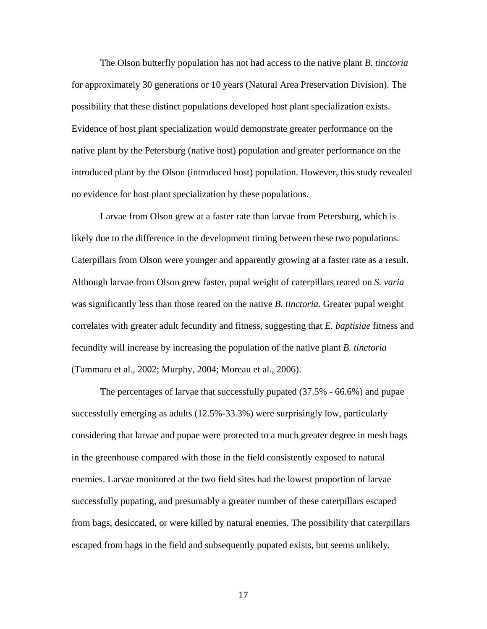The Olson butterfly population has not had access to the native plant *B. tinctoria* for approximately 30 generations or 10 years (Natural Area Preservation Division). The possibility that these distinct populations developed host plant specialization exists. Evidence of host plant specialization would demonstrate greater performance on the native plant by the Petersburg (native host) population and greater performance on the introduced plant by the Olson (introduced host) population. However, this study revealed no evidence for host plant specialization by these populations.

Larvae from Olson grew at a faster rate than larvae from Petersburg, which is likely due to the difference in the development timing between these two populations. Caterpillars from Olson were younger and apparently growing at a faster rate as a result. Although larvae from Olson grew faster, pupal weight of caterpillars reared on *S. varia* was significantly less than those reared on the native *B. tinctoria*. Greater pupal weight correlates with greater adult fecundity and fitness, suggesting that *E. baptisiae* fitness and fecundity will increase by increasing the population of the native plant *B. tinctoria* (Tammaru et al., 2002; Murphy, 2004; Moreau et al., 2006).

The percentages of larvae that successfully pupated (37.5% - 66.6%) and pupae successfully emerging as adults (12.5%-33.3%) were surprisingly low, particularly considering that larvae and pupae were protected to a much greater degree in mesh bags in the greenhouse compared with those in the field consistently exposed to natural enemies. Larvae monitored at the two field sites had the lowest proportion of larvae successfully pupating, and presumably a greater number of these caterpillars escaped from bags, desiccated, or were killed by natural enemies. The possibility that caterpillars escaped from bags in the field and subsequently pupated exists, but seems unlikely.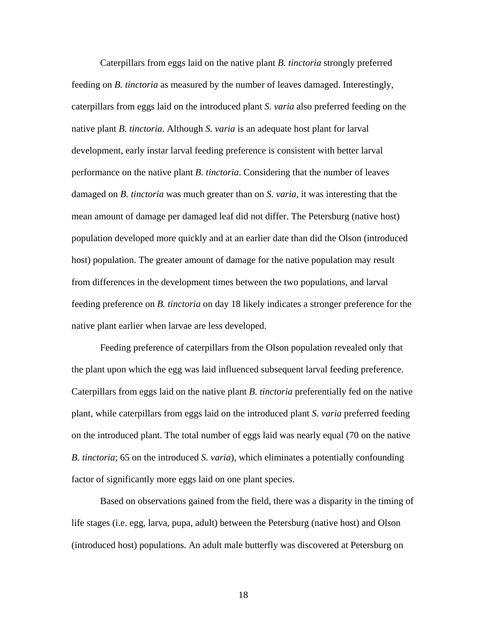Caterpillars from eggs laid on the native plant *B. tinctoria* strongly preferred feeding on *B. tinctoria* as measured by the number of leaves damaged. Interestingly, caterpillars from eggs laid on the introduced plant *S. varia* also preferred feeding on the native plant *B. tinctoria*. Although *S. varia* is an adequate host plant for larval development, early instar larval feeding preference is consistent with better larval performance on the native plant *B. tinctoria*. Considering that the number of leaves damaged on *B. tinctoria* was much greater than on *S. varia*, it was interesting that the mean amount of damage per damaged leaf did not differ. The Petersburg (native host) population developed more quickly and at an earlier date than did the Olson (introduced host) population. The greater amount of damage for the native population may result from differences in the development times between the two populations, and larval feeding preference on *B. tinctoria* on day 18 likely indicates a stronger preference for the native plant earlier when larvae are less developed.

Feeding preference of caterpillars from the Olson population revealed only that the plant upon which the egg was laid influenced subsequent larval feeding preference. Caterpillars from eggs laid on the native plant *B. tinctoria* preferentially fed on the native plant, while caterpillars from eggs laid on the introduced plant *S. varia* preferred feeding on the introduced plant. The total number of eggs laid was nearly equal (70 on the native *B. tinctoria*; 65 on the introduced *S. varia*), which eliminates a potentially confounding factor of significantly more eggs laid on one plant species.

Based on observations gained from the field, there was a disparity in the timing of life stages (i.e. egg, larva, pupa, adult) between the Petersburg (native host) and Olson (introduced host) populations. An adult male butterfly was discovered at Petersburg on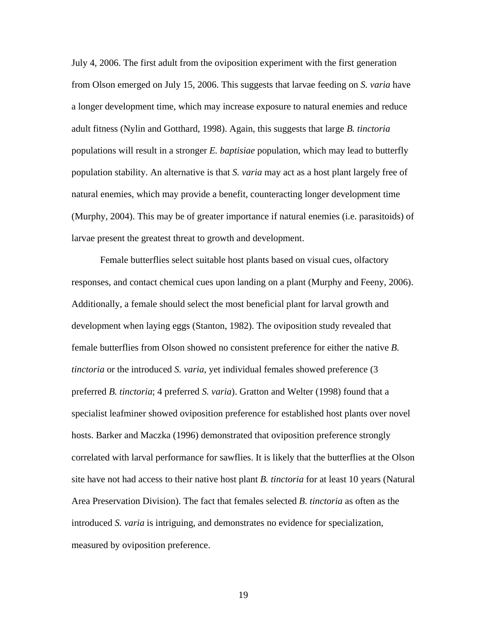July 4, 2006. The first adult from the oviposition experiment with the first generation from Olson emerged on July 15, 2006. This suggests that larvae feeding on *S. varia* have a longer development time, which may increase exposure to natural enemies and reduce adult fitness (Nylin and Gotthard, 1998). Again, this suggests that large *B. tinctoria* populations will result in a stronger *E. baptisiae* population, which may lead to butterfly population stability. An alternative is that *S. varia* may act as a host plant largely free of natural enemies, which may provide a benefit, counteracting longer development time (Murphy, 2004). This may be of greater importance if natural enemies (i.e. parasitoids) of larvae present the greatest threat to growth and development.

Female butterflies select suitable host plants based on visual cues, olfactory responses, and contact chemical cues upon landing on a plant (Murphy and Feeny, 2006). Additionally, a female should select the most beneficial plant for larval growth and development when laying eggs (Stanton, 1982). The oviposition study revealed that female butterflies from Olson showed no consistent preference for either the native *B. tinctoria* or the introduced *S. varia*, yet individual females showed preference (3 preferred *B. tinctoria*; 4 preferred *S. varia*). Gratton and Welter (1998) found that a specialist leafminer showed oviposition preference for established host plants over novel hosts. Barker and Maczka (1996) demonstrated that oviposition preference strongly correlated with larval performance for sawflies. It is likely that the butterflies at the Olson site have not had access to their native host plant *B. tinctoria* for at least 10 years (Natural Area Preservation Division). The fact that females selected *B. tinctoria* as often as the introduced *S. varia* is intriguing, and demonstrates no evidence for specialization, measured by oviposition preference.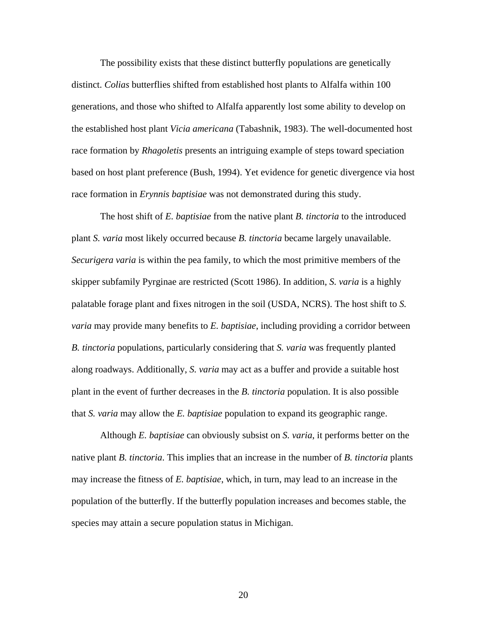The possibility exists that these distinct butterfly populations are genetically distinct. *Colias* butterflies shifted from established host plants to Alfalfa within 100 generations, and those who shifted to Alfalfa apparently lost some ability to develop on the established host plant *Vicia americana* (Tabashnik, 1983). The well-documented host race formation by *Rhagoletis* presents an intriguing example of steps toward speciation based on host plant preference (Bush, 1994). Yet evidence for genetic divergence via host race formation in *Erynnis baptisiae* was not demonstrated during this study.

The host shift of *E. baptisiae* from the native plant *B. tinctoria* to the introduced plant *S. varia* most likely occurred because *B. tinctoria* became largely unavailable. *Securigera varia* is within the pea family, to which the most primitive members of the skipper subfamily Pyrginae are restricted (Scott 1986). In addition, *S. varia* is a highly palatable forage plant and fixes nitrogen in the soil (USDA, NCRS). The host shift to *S. varia* may provide many benefits to *E. baptisiae*, including providing a corridor between *B. tinctoria* populations, particularly considering that *S. varia* was frequently planted along roadways. Additionally, *S. varia* may act as a buffer and provide a suitable host plant in the event of further decreases in the *B. tinctoria* population. It is also possible that *S. varia* may allow the *E. baptisiae* population to expand its geographic range.

Although *E. baptisiae* can obviously subsist on *S. varia*, it performs better on the native plant *B. tinctoria*. This implies that an increase in the number of *B. tinctoria* plants may increase the fitness of *E. baptisiae*, which, in turn, may lead to an increase in the population of the butterfly. If the butterfly population increases and becomes stable, the species may attain a secure population status in Michigan.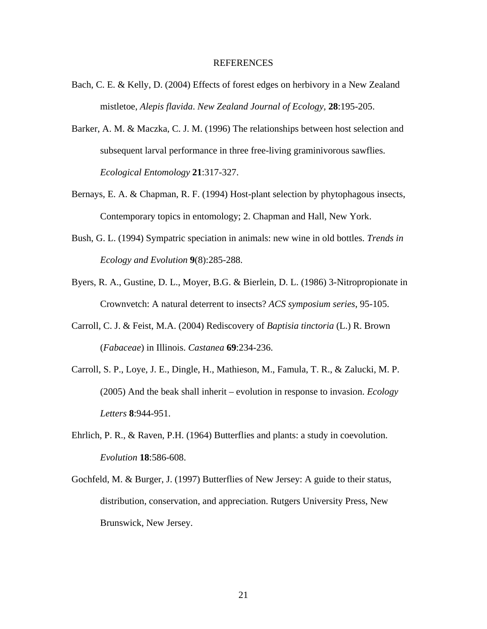#### REFERENCES

- Bach, C. E. & Kelly, D. (2004) Effects of forest edges on herbivory in a New Zealand mistletoe, *Alepis flavida*. *New Zealand Journal of Ecology,* **28**:195-205.
- Barker, A. M. & Maczka, C. J. M. (1996) The relationships between host selection and subsequent larval performance in three free-living graminivorous sawflies. *Ecological Entomology* **21**:317-327.
- Bernays, E. A. & Chapman, R. F. (1994) Host-plant selection by phytophagous insects, Contemporary topics in entomology; 2. Chapman and Hall, New York.
- Bush, G. L. (1994) Sympatric speciation in animals: new wine in old bottles. *Trends in Ecology and Evolution* **9**(8):285-288.
- Byers, R. A., Gustine, D. L., Moyer, B.G. & Bierlein, D. L. (1986) 3-Nitropropionate in Crownvetch: A natural deterrent to insects? *ACS symposium series*, 95-105.
- Carroll, C. J. & Feist, M.A. (2004) Rediscovery of *Baptisia tinctoria* (L.) R. Brown (*Fabaceae*) in Illinois. *Castanea* **69**:234-236.
- Carroll, S. P., Loye, J. E., Dingle, H., Mathieson, M., Famula, T. R., & Zalucki, M. P. (2005) And the beak shall inherit – evolution in response to invasion. *Ecology Letters* **8**:944-951.
- Ehrlich, P. R., & Raven, P.H. (1964) Butterflies and plants: a study in coevolution. *Evolution* **18**:586-608.
- Gochfeld, M. & Burger, J. (1997) Butterflies of New Jersey: A guide to their status, distribution, conservation, and appreciation. Rutgers University Press, New Brunswick, New Jersey.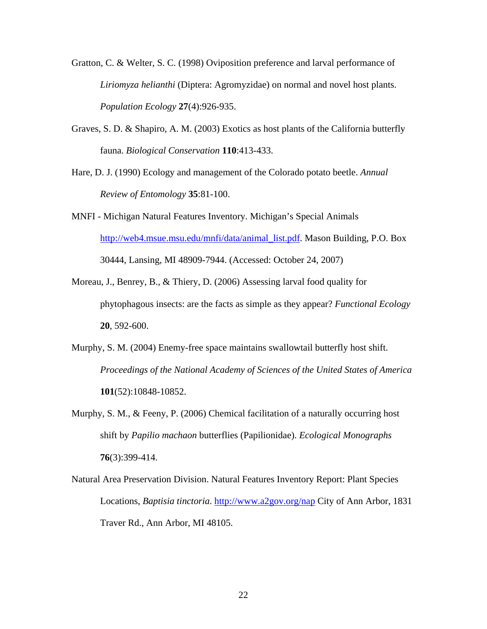- Gratton, C. & Welter, S. C. (1998) Oviposition preference and larval performance of *Liriomyza helianthi* (Diptera: Agromyzidae) on normal and novel host plants. *Population Ecology* **27**(4):926-935.
- Graves, S. D. & Shapiro, A. M. (2003) Exotics as host plants of the California butterfly fauna. *Biological Conservation* **110**:413-433.
- Hare, D. J. (1990) Ecology and management of the Colorado potato beetle. *Annual Review of Entomology* **35**:81-100.
- MNFI Michigan Natural Features Inventory. Michigan's Special Animals [http://web4.msue.msu.edu/mnfi/data/animal\\_list.pdf](http://web4.msue.msu.edu/mnfi/data/animal_list.pdf). Mason Building, P.O. Box 30444, Lansing, MI 48909-7944. (Accessed: October 24, 2007)
- Moreau, J., Benrey, B., & Thiery, D. (2006) Assessing larval food quality for phytophagous insects: are the facts as simple as they appear? *Functional Ecology* **20**, 592-600.
- Murphy, S. M. (2004) Enemy-free space maintains swallowtail butterfly host shift. *Proceedings of the National Academy of Sciences of the United States of America* **101**(52):10848-10852.
- Murphy, S. M., & Feeny, P. (2006) Chemical facilitation of a naturally occurring host shift by *Papilio machaon* butterflies (Papilionidae). *Ecological Monographs* **76**(3):399-414.
- Natural Area Preservation Division. Natural Features Inventory Report: Plant Species Locations, *Baptisia tinctoria*. <http://www.a2gov.org/nap> City of Ann Arbor, 1831 Traver Rd., Ann Arbor, MI 48105.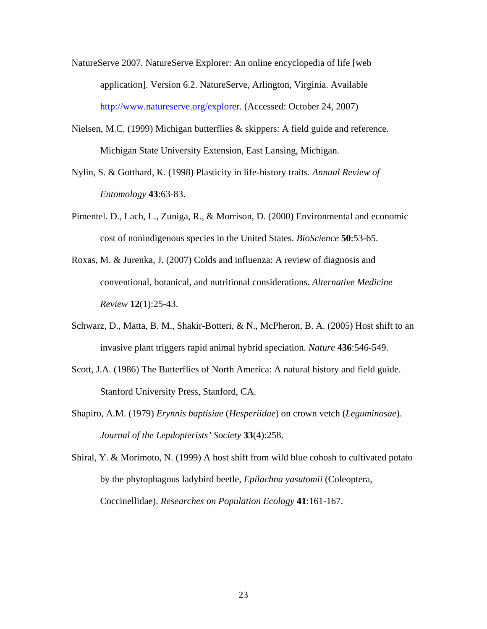- NatureServe 2007. NatureServe Explorer: An online encyclopedia of life [web application]. Version 6.2. NatureServe, Arlington, Virginia. Available <http://www.natureserve.org/explorer>. (Accessed: October 24, 2007)
- Nielsen, M.C. (1999) Michigan butterflies & skippers: A field guide and reference. Michigan State University Extension, East Lansing, Michigan.
- Nylin, S. & Gotthard, K. (1998) Plasticity in life-history traits. *Annual Review of Entomology* **43**:63-83.
- Pimentel. D., Lach, L., Zuniga, R., & Morrison, D. (2000) Environmental and economic cost of nonindigenous species in the United States. *BioScience* **50**:53-65.
- Roxas, M. & Jurenka, J. (2007) Colds and influenza: A review of diagnosis and conventional, botanical, and nutritional considerations. *Alternative Medicine Review* **12**(1):25-43.
- Schwarz, D., Matta, B. M., Shakir-Botteri, & N., McPheron, B. A. (2005) Host shift to an invasive plant triggers rapid animal hybrid speciation. *Nature* **436**:546-549.
- Scott, J.A. (1986) The Butterflies of North America: A natural history and field guide. Stanford University Press, Stanford, CA.
- Shapiro, A.M. (1979) *Erynnis baptisiae* (*Hesperiidae*) on crown vetch (*Leguminosae*). *Journal of the Lepdopterists' Society* **33**(4):258.
- Shiral, Y. & Morimoto, N. (1999) A host shift from wild blue cohosh to cultivated potato by the phytophagous ladybird beetle, *Epilachna yasutomii* (Coleoptera, Coccinellidae). *Researches on Population Ecology* **41**:161-167.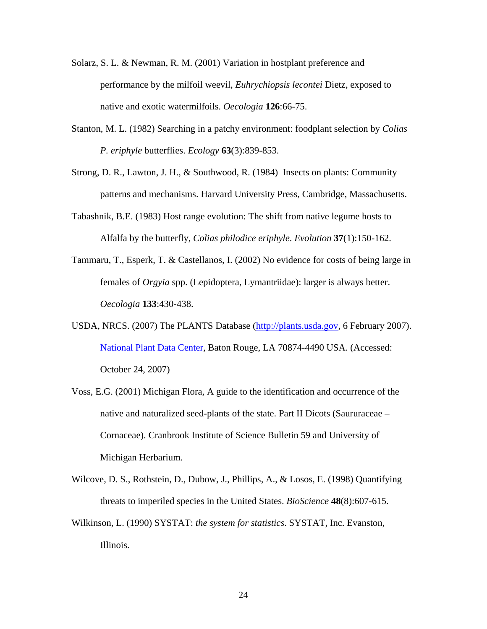- Solarz, S. L. & Newman, R. M. (2001) Variation in hostplant preference and performance by the milfoil weevil, *Euhrychiopsis lecontei* Dietz, exposed to native and exotic watermilfoils. *Oecologia* **126**:66-75.
- Stanton, M. L. (1982) Searching in a patchy environment: foodplant selection by *Colias P. eriphyle* butterflies. *Ecology* **63**(3):839-853.
- Strong, D. R., Lawton, J. H., & Southwood, R. (1984) Insects on plants: Community patterns and mechanisms. Harvard University Press, Cambridge, Massachusetts.
- Tabashnik, B.E. (1983) Host range evolution: The shift from native legume hosts to Alfalfa by the butterfly, *Colias philodice eriphyle*. *Evolution* **37**(1):150-162.
- Tammaru, T., Esperk, T. & Castellanos, I. (2002) No evidence for costs of being large in females of *Orgyia* spp. (Lepidoptera, Lymantriidae): larger is always better. *Oecologia* **133**:430-438.
- USDA, NRCS. (2007) The PLANTS Database ([http://plants.usda.gov](http://plants.usda.gov/), 6 February 2007). [National Plant Data Center,](http://npdc.usda.gov/) Baton Rouge, LA 70874-4490 USA. (Accessed: October 24, 2007)
- Voss, E.G. (2001) Michigan Flora, A guide to the identification and occurrence of the native and naturalized seed-plants of the state. Part II Dicots (Saururaceae – Cornaceae). Cranbrook Institute of Science Bulletin 59 and University of Michigan Herbarium.
- Wilcove, D. S., Rothstein, D., Dubow, J., Phillips, A., & Losos, E. (1998) Quantifying threats to imperiled species in the United States. *BioScience* **48**(8):607-615.
- Wilkinson, L. (1990) SYSTAT: *the system for statistics*. SYSTAT, Inc. Evanston, Illinois.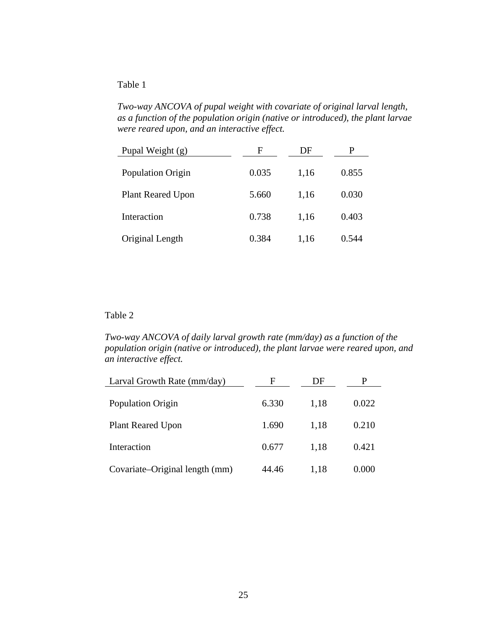*Two-way ANCOVA of pupal weight with covariate of original larval length, as a function of the population origin (native or introduced), the plant larvae were reared upon, and an interactive effect.* 

| Pupal Weight $(g)$       | F     | DF   |       |
|--------------------------|-------|------|-------|
| Population Origin        | 0.035 | 1,16 | 0.855 |
| <b>Plant Reared Upon</b> | 5.660 | 1,16 | 0.030 |
| Interaction              | 0.738 | 1,16 | 0.403 |
| Original Length          | 0.384 | 1,16 | 0.544 |

## Table 2

*Two-way ANCOVA of daily larval growth rate (mm/day) as a function of the population origin (native or introduced), the plant larvae were reared upon, and an interactive effect.* 

| Larval Growth Rate (mm/day)    | F     | DF   | P     |
|--------------------------------|-------|------|-------|
| <b>Population Origin</b>       | 6.330 | 1,18 | 0.022 |
| <b>Plant Reared Upon</b>       | 1.690 | 1.18 | 0.210 |
| Interaction                    | 0.677 | 1,18 | 0.421 |
| Covariate–Original length (mm) | 44.46 | 1,18 | 0.000 |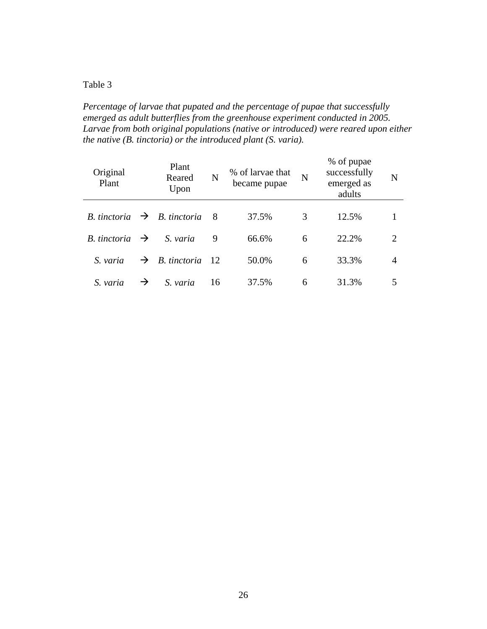*Percentage of larvae that pupated and the percentage of pupae that successfully emerged as adult butterflies from the greenhouse experiment conducted in 2005. Larvae from both original populations (native or introduced) were reared upon either the native (B. tinctoria) or the introduced plant (S. varia).* 

| Original<br>Plant          |   | Plant<br>Reared<br>Upon                 | N   | % of larvae that<br>became pupae | N | % of pupae<br>successfully<br>emerged as<br>adults | N |
|----------------------------|---|-----------------------------------------|-----|----------------------------------|---|----------------------------------------------------|---|
|                            |   | B. tinctoria $\rightarrow$ B. tinctoria | - 8 | 37.5%                            | 3 | 12.5%                                              |   |
| B. tinctoria $\rightarrow$ |   | S. varia                                | 9   | 66.6%                            | 6 | 22.2%                                              | 2 |
| S. varia                   |   | $\rightarrow$ B. tinctoria 12           |     | 50.0%                            | 6 | 33.3%                                              | 4 |
| S. varia                   | → | S. varia                                | 16  | 37.5%                            | 6 | 31.3%                                              |   |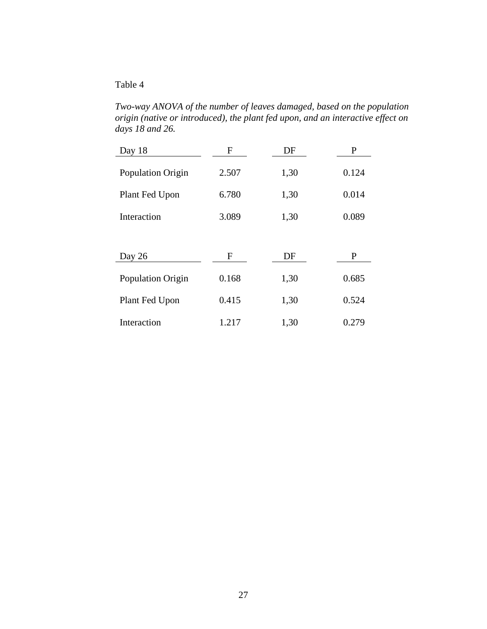*Two-way ANOVA of the number of leaves damaged, based on the population origin (native or introduced), the plant fed upon, and an interactive effect on days 18 and 26.* 

| Day 18            | F     | DF   | P     |
|-------------------|-------|------|-------|
| Population Origin | 2.507 | 1,30 | 0.124 |
| Plant Fed Upon    | 6.780 | 1,30 | 0.014 |
| Interaction       | 3.089 | 1,30 | 0.089 |
|                   |       |      |       |
| Day 26            | F     | DF   | P     |
| Population Origin | 0.168 | 1,30 | 0.685 |
| Plant Fed Upon    | 0.415 | 1,30 | 0.524 |
| Interaction       | 1.217 | 1,30 | 0.279 |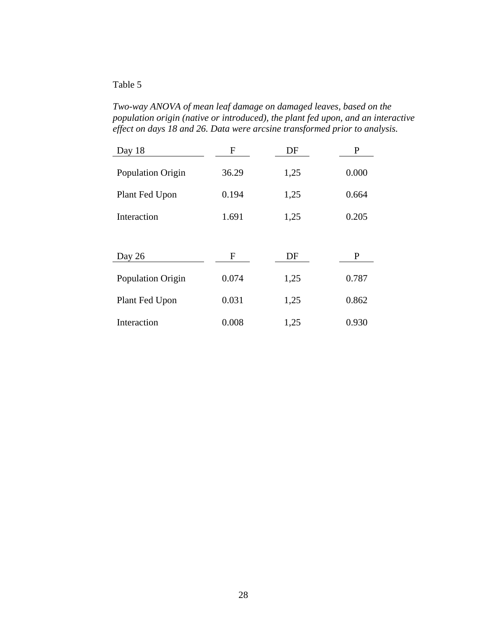*Two-way ANOVA of mean leaf damage on damaged leaves, based on the population origin (native or introduced), the plant fed upon, and an interactive effect on days 18 and 26. Data were arcsine transformed prior to analysis.* 

| Day 18            | $\mathbf{F}$ | DF   | P     |
|-------------------|--------------|------|-------|
| Population Origin | 36.29        | 1,25 | 0.000 |
| Plant Fed Upon    | 0.194        | 1,25 | 0.664 |
| Interaction       | 1.691        | 1,25 | 0.205 |
|                   |              |      |       |
| Day 26            | F            | DF   | P     |
| Population Origin | 0.074        | 1,25 | 0.787 |
| Plant Fed Upon    | 0.031        | 1,25 | 0.862 |
| Interaction       | 0.008        | 1,25 | 0.930 |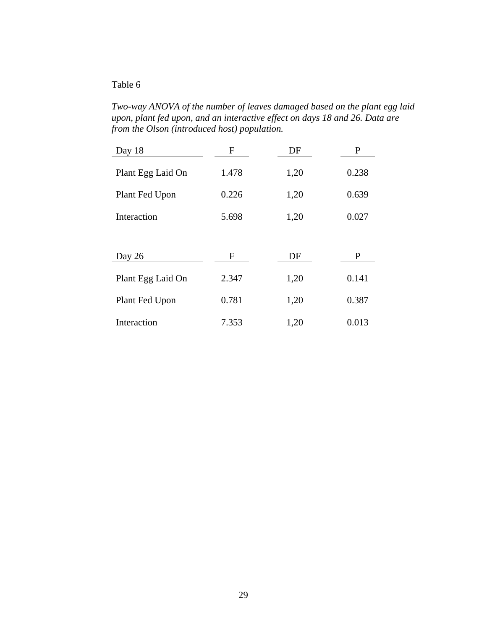*Two-way ANOVA of the number of leaves damaged based on the plant egg laid upon, plant fed upon, and an interactive effect on days 18 and 26. Data are from the Olson (introduced host) population.* 

| Day 18            | F           | DF   | P     |
|-------------------|-------------|------|-------|
| Plant Egg Laid On | 1.478       | 1,20 | 0.238 |
| Plant Fed Upon    | 0.226       | 1,20 | 0.639 |
| Interaction       | 5.698       | 1,20 | 0.027 |
|                   |             |      |       |
| Day 26            | $\mathbf F$ | DF   | P     |
| Plant Egg Laid On | 2.347       | 1,20 | 0.141 |
| Plant Fed Upon    | 0.781       | 1,20 | 0.387 |
| Interaction       | 7.353       | 1,20 | 0.013 |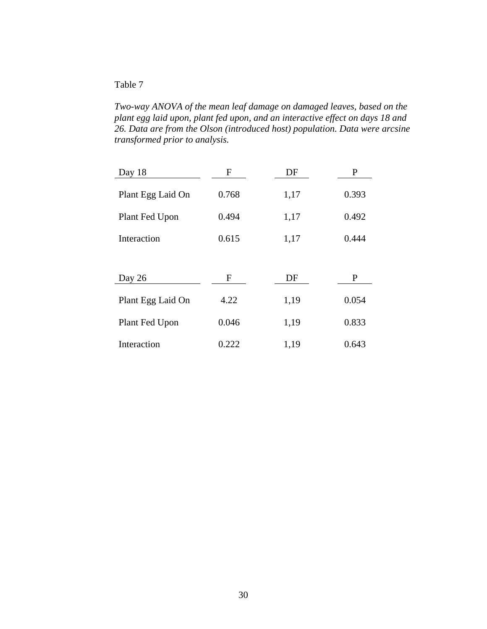*Two-way ANOVA of the mean leaf damage on damaged leaves, based on the plant egg laid upon, plant fed upon, and an interactive effect on days 18 and 26. Data are from the Olson (introduced host) population. Data were arcsine transformed prior to analysis.* 

| Day 18            | F     | DF   | P     |
|-------------------|-------|------|-------|
| Plant Egg Laid On | 0.768 | 1,17 | 0.393 |
| Plant Fed Upon    | 0.494 | 1,17 | 0.492 |
| Interaction       | 0.615 | 1,17 | 0.444 |
|                   |       |      |       |
| Day 26            | F     | DF   | P     |
| Plant Egg Laid On | 4.22  | 1,19 | 0.054 |
| Plant Fed Upon    | 0.046 | 1,19 | 0.833 |
| Interaction       | 0.222 | 1,19 | 0.643 |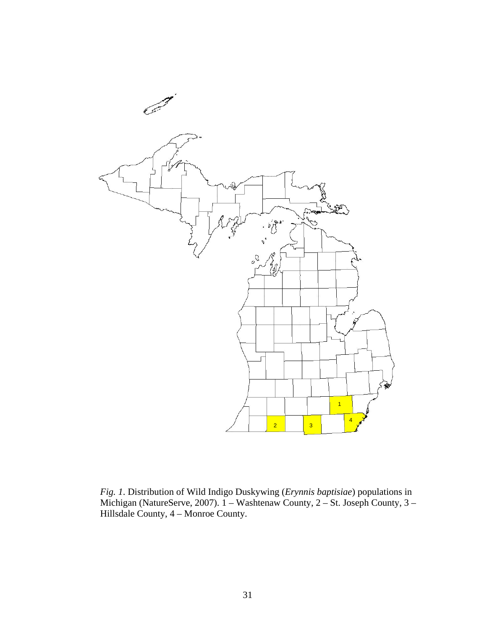

*Fig. 1*. Distribution of Wild Indigo Duskywing (*Erynnis baptisiae*) populations in Michigan (NatureServe, 2007). 1 – Washtenaw County, 2 – St. Joseph County, 3 – Hillsdale County, 4 – Monroe County.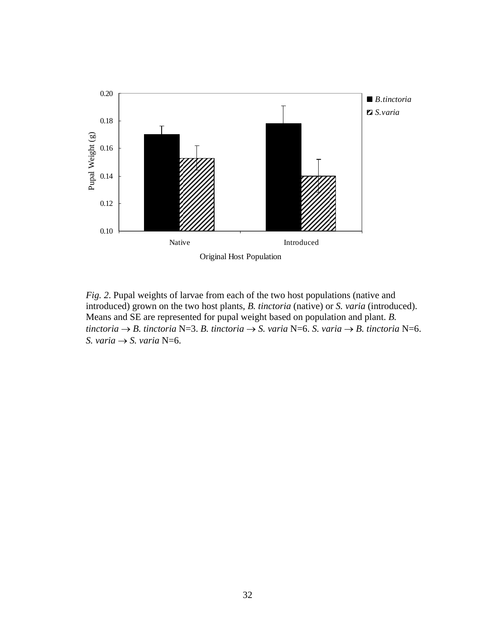

*Fig. 2*. Pupal weights of larvae from each of the two host populations (native and introduced) grown on the two host plants, *B. tinctoria* (native) or *S. varia* (introduced). Means and SE are represented for pupal weight based on population and plant. *B. tinctoria* → *B. tinctoria* N=3. *B. tinctoria* → *S. varia* N=6. *S. varia* → *B. tinctoria* N=6. *S. varia*  $\rightarrow$  *S. varia* N=6.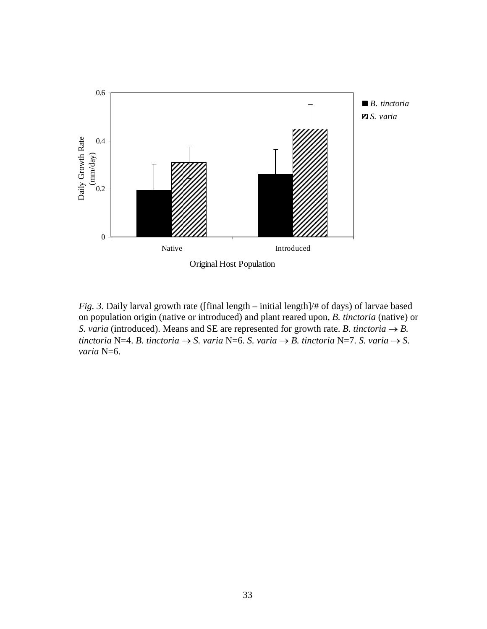

*Fig. 3.* Daily larval growth rate ([final length – initial length]/# of days) of larvae based on population origin (native or introduced) and plant reared upon, *B. tinctoria* (native) or *S. varia* (introduced). Means and SE are represented for growth rate. *B. tinctoria*  $\rightarrow$  *B. tinctoria* N=4. *B. tinctoria*  $\rightarrow$  *S. varia* N=6. *S. varia*  $\rightarrow$  *B. tinctoria* N=7. *S. varia*  $\rightarrow$  *S. varia* N=6.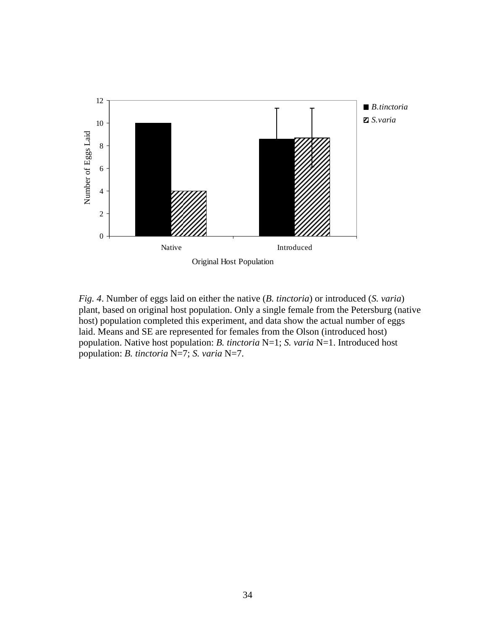

*Fig. 4*. Number of eggs laid on either the native (*B. tinctoria*) or introduced (*S. varia*) plant, based on original host population. Only a single female from the Petersburg (native host) population completed this experiment, and data show the actual number of eggs laid. Means and SE are represented for females from the Olson (introduced host) population. Native host population: *B. tinctoria* N=1; *S. varia* N=1. Introduced host population: *B. tinctoria* N=7; *S. varia* N=7.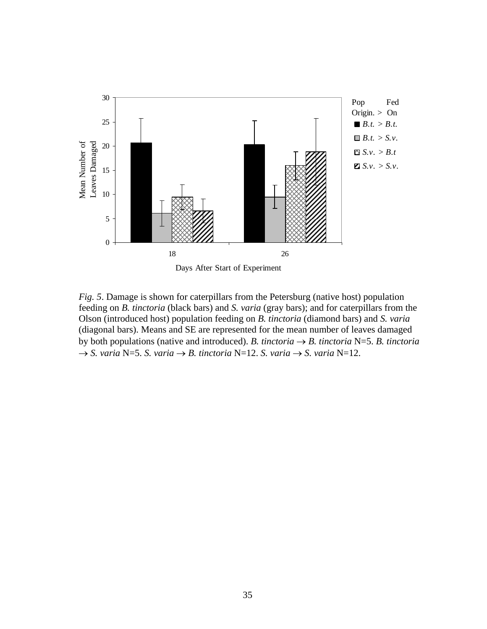

*Fig. 5*. Damage is shown for caterpillars from the Petersburg (native host) population feeding on *B. tinctoria* (black bars) and *S. varia* (gray bars); and for caterpillars from the Olson (introduced host) population feeding on *B. tinctoria* (diamond bars) and *S. varia* (diagonal bars). Means and SE are represented for the mean number of leaves damaged by both populations (native and introduced). *B. tinctoria*  $\rightarrow$  *B. tinctoria* N=5. *B. tinctoria*  $\rightarrow$  *S. varia* N=5. *S. varia*  $\rightarrow$  *B. tinctoria* N=12. *S. varia*  $\rightarrow$  *S. varia* N=12.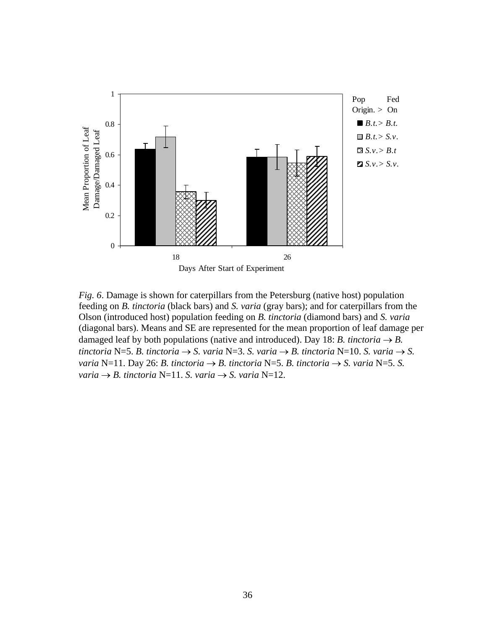

*Fig. 6*. Damage is shown for caterpillars from the Petersburg (native host) population feeding on *B. tinctoria* (black bars) and *S. varia* (gray bars); and for caterpillars from the Olson (introduced host) population feeding on *B. tinctoria* (diamond bars) and *S. varia* (diagonal bars). Means and SE are represented for the mean proportion of leaf damage per damaged leaf by both populations (native and introduced). Day 18: *B. tinctoria*  $\rightarrow$  *B. tinctoria* N=5. *B. tinctoria*  $\rightarrow$  *S. varia* N=3. *S. varia*  $\rightarrow$  *B. tinctoria* N=10. *S. varia*  $\rightarrow$  *S. varia* N=11. Day 26: *B. tinctoria*  $\rightarrow$  *B. tinctoria* N=5. *B. tinctoria*  $\rightarrow$  *S. varia* N=5. *S.*  $varia \rightarrow B$ . tinctoria N=11. *S. varia*  $\rightarrow$  *S. varia* N=12.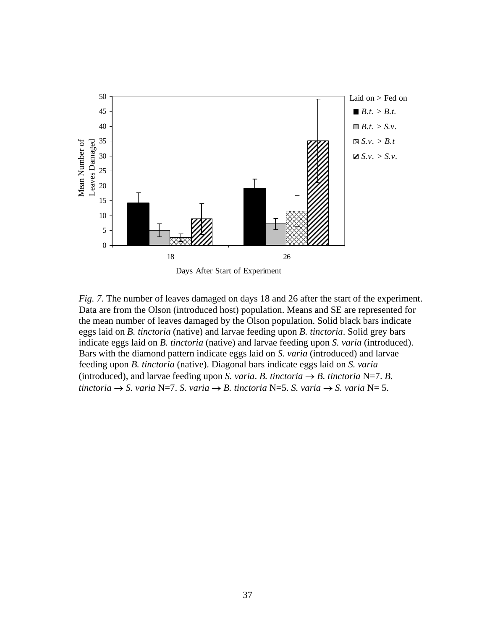

*Fig. 7*. The number of leaves damaged on days 18 and 26 after the start of the experiment. Data are from the Olson (introduced host) population. Means and SE are represented for the mean number of leaves damaged by the Olson population. Solid black bars indicate eggs laid on *B. tinctoria* (native) and larvae feeding upon *B. tinctoria*. Solid grey bars indicate eggs laid on *B. tinctoria* (native) and larvae feeding upon *S. varia* (introduced). Bars with the diamond pattern indicate eggs laid on *S. varia* (introduced) and larvae feeding upon *B. tinctoria* (native). Diagonal bars indicate eggs laid on *S. varia* (introduced), and larvae feeding upon *S. varia. B. tinctoria*  $\rightarrow$  *B. tinctoria* N=7. *B. tinctoria* → *S. varia* N=7. *S. varia* → *B. tinctoria* N=5. *S. varia* → *S. varia* N= 5.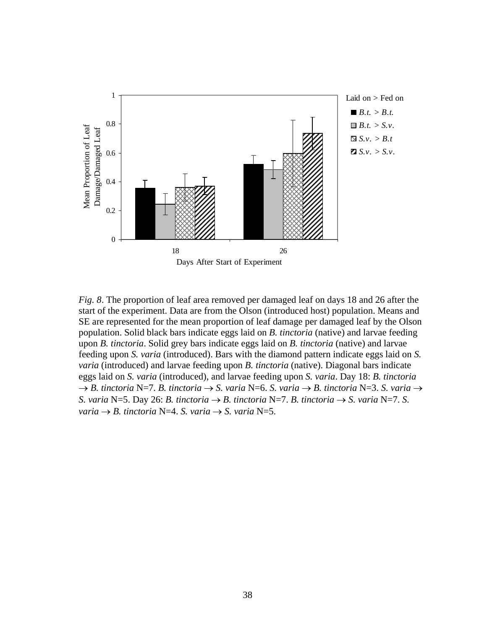

*Fig. 8*. The proportion of leaf area removed per damaged leaf on days 18 and 26 after the start of the experiment. Data are from the Olson (introduced host) population. Means and SE are represented for the mean proportion of leaf damage per damaged leaf by the Olson population. Solid black bars indicate eggs laid on *B. tinctoria* (native) and larvae feeding upon *B. tinctoria*. Solid grey bars indicate eggs laid on *B. tinctoria* (native) and larvae feeding upon *S. varia* (introduced). Bars with the diamond pattern indicate eggs laid on *S. varia* (introduced) and larvae feeding upon *B. tinctoria* (native). Diagonal bars indicate eggs laid on *S. varia* (introduced), and larvae feeding upon *S. varia*. Day 18: *B. tinctoria* → *B. tinctoria* N=7. *B. tinctoria* → *S. varia* N=6. *S. varia* → *B. tinctoria* N=3. *S. varia* → *S. varia* N=5. Day 26: *B. tinctoria*  $\rightarrow$  *B. tinctoria* N=7. *B. tinctoria*  $\rightarrow$  *S. varia* N=7. *S.*  $varia \rightarrow B$ . tinctoria N=4. *S. varia*  $\rightarrow$  *S. varia* N=5.